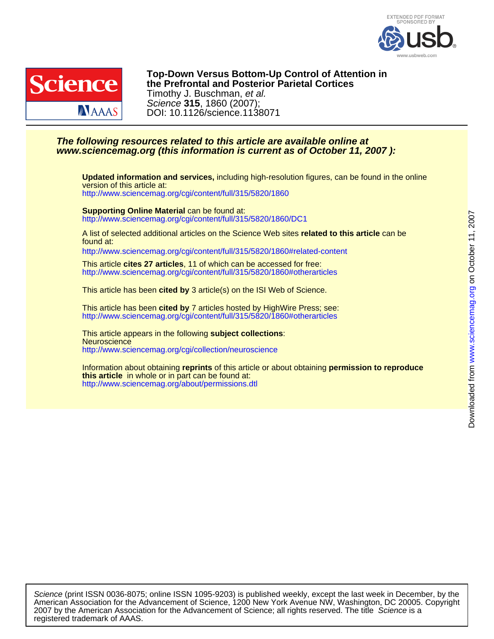



DOI: 10.1126/science.1138071 Science **315**, 1860 (2007); Timothy J. Buschman, et al. **the Prefrontal and Posterior Parietal Cortices Top-Down Versus Bottom-Up Control of Attention in**

## **www.sciencemag.org (this information is current as of October 11, 2007 ): The following resources related to this article are available online at**

<http://www.sciencemag.org/cgi/content/full/315/5820/1860> version of this article at: **Updated information and services,** including high-resolution figures, can be found in the online

<http://www.sciencemag.org/cgi/content/full/315/5820/1860/DC1> **Supporting Online Material** can be found at:

found at: A list of selected additional articles on the Science Web sites **related to this article** can be

<http://www.sciencemag.org/cgi/content/full/315/5820/1860#related-content>

<http://www.sciencemag.org/cgi/content/full/315/5820/1860#otherarticles> This article **cites 27 articles**, 11 of which can be accessed for free:

This article has been **cited by** 3 article(s) on the ISI Web of Science.

<http://www.sciencemag.org/cgi/content/full/315/5820/1860#otherarticles> This article has been **cited by** 7 articles hosted by HighWire Press; see:

<http://www.sciencemag.org/cgi/collection/neuroscience> **Neuroscience** This article appears in the following **subject collections**:

<http://www.sciencemag.org/about/permissions.dtl> **this article** in whole or in part can be found at: Information about obtaining **reprints** of this article or about obtaining **permission to reproduce**

registered trademark of AAAS. 2007 by the American Association for the Advancement of Science; all rights reserved. The title Science is a American Association for the Advancement of Science, 1200 New York Avenue NW, Washington, DC 20005. Copyright Science (print ISSN 0036-8075; online ISSN 1095-9203) is published weekly, except the last week in December, by the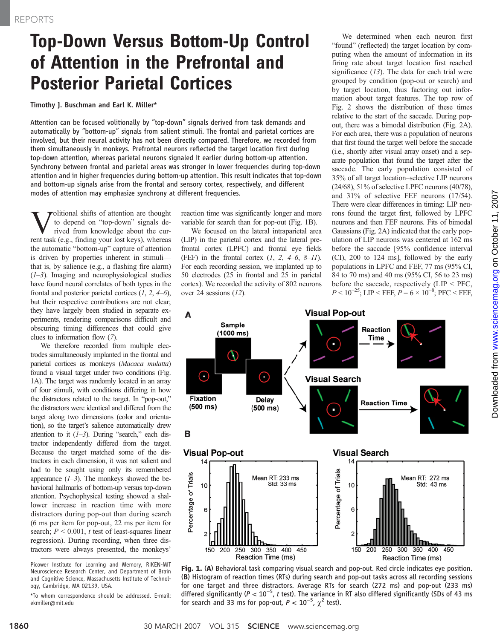## Top-Down Versus Bottom-Up Control of Attention in the Prefrontal and Posterior Parietal Cortices

Timothy J. Buschman and Earl K. Miller\*

Attention can be focused volitionally by "top-down" signals derived from task demands and automatically by "bottom-up" signals from salient stimuli. The frontal and parietal cortices are involved, but their neural activity has not been directly compared. Therefore, we recorded from them simultaneously in monkeys. Prefrontal neurons reflected the target location first during top-down attention, whereas parietal neurons signaled it earlier during bottom-up attention. Synchrony between frontal and parietal areas was stronger in lower frequencies during top-down attention and in higher frequencies during bottom-up attention. This result indicates that top-down and bottom-up signals arise from the frontal and sensory cortex, respectively, and different modes of attention may emphasize synchrony at different frequencies.

**V** to depend on "top-down" signals derived from knowledge about the current task (e.g. finding your lost keys) whereas to depend on "top-down" signals derent task (e.g., finding your lost keys), whereas the automatic "bottom-up" capture of attention is driven by properties inherent in stimuli that is, by salience (e.g., a flashing fire alarm)  $(1-3)$ . Imaging and neurophysiological studies have found neural correlates of both types in the frontal and posterior parietal cortices  $(1, 2, 4-6)$ , but their respective contributions are not clear; they have largely been studied in separate experiments, rendering comparisons difficult and obscuring timing differences that could give clues to information flow (7).

We therefore recorded from multiple electrodes simultaneously implanted in the frontal and parietal cortices as monkeys (Macaca mulatta) found a visual target under two conditions (Fig. 1A). The target was randomly located in an array of four stimuli, with conditions differing in how the distractors related to the target. In "pop-out," the distractors were identical and differed from the target along two dimensions (color and orientation), so the target's salience automatically drew attention to it  $(1-3)$ . During "search," each distractor independently differed from the target. Because the target matched some of the distractors in each dimension, it was not salient and had to be sought using only its remembered appearance  $(1-3)$ . The monkeys showed the behavioral hallmarks of bottom-up versus top-down attention. Psychophysical testing showed a shallower increase in reaction time with more distractors during pop-out than during search (6 ms per item for pop-out, 22 ms per item for search;  $P < 0.001$ , t test of least-squares linear regression). During recording, when three distractors were always presented, the monkeys'

reaction time was significantly longer and more variable for search than for pop-out (Fig. 1B).

We focused on the lateral intraparietal area (LIP) in the parietal cortex and the lateral prefrontal cortex (LPFC) and frontal eye fields (FEF) in the frontal cortex  $(1, 2, 4-6, 8-11)$ . For each recording session, we implanted up to 50 electrodes (25 in frontal and 25 in parietal cortex). We recorded the activity of 802 neurons over 24 sessions (12).

We determined when each neuron first "found" (reflected) the target location by computing when the amount of information in its firing rate about target location first reached significance  $(13)$ . The data for each trial were grouped by condition (pop-out or search) and by target location, thus factoring out information about target features. The top row of Fig. 2 shows the distribution of these times relative to the start of the saccade. During popout, there was a bimodal distribution (Fig. 2A). For each area, there was a population of neurons that first found the target well before the saccade (i.e., shortly after visual array onset) and a separate population that found the target after the saccade. The early population consisted of 35% of all target location–selective LIP neurons (24/68), 51% of selective LPFC neurons (40/78), and 31% of selective FEF neurons (17/54). There were clear differences in timing: LIP neurons found the target first, followed by LPFC neurons and then FEF neurons. Fits of bimodal Gaussians (Fig. 2A) indicated that the early population of LIP neurons was centered at 162 ms before the saccade [95% confidence interval (CI), 200 to 124 ms], followed by the early populations in LPFC and FEF, 77 ms (95% CI, 84 to 70 ms) and 40 ms (95% CI, 56 to 23 ms) before the saccade, respectively (LIP < PFC,  $P < 10^{-25}$ ; LIP < FEF,  $P = 6 \times 10^{-8}$ ; PFC < FEF,



Fig. 1. (A) Behavioral task comparing visual search and pop-out. Red circle indicates eye position. (B) Histogram of reaction times (RTs) during search and pop-out tasks across all recording sessions for one target and three distractors. Average RTs for search (272 ms) and pop-out (233 ms) differed significantly ( $P < 10^{-5}$ , t test). The variance in RT also differed significantly (SDs of 43 ms for search and 33 ms for pop-out,  $P < 10^{-5}$ ,  $\chi^2$  test).

Picower Institute for Learning and Memory, RIKEN-MIT Neuroscience Research Center, and Department of Brain and Cognitive Science, Massachusetts Institute of Technology, Cambridge, MA 02139, USA.

<sup>\*</sup>To whom correspondence should be addressed. E-mail: ekmiller@mit.edu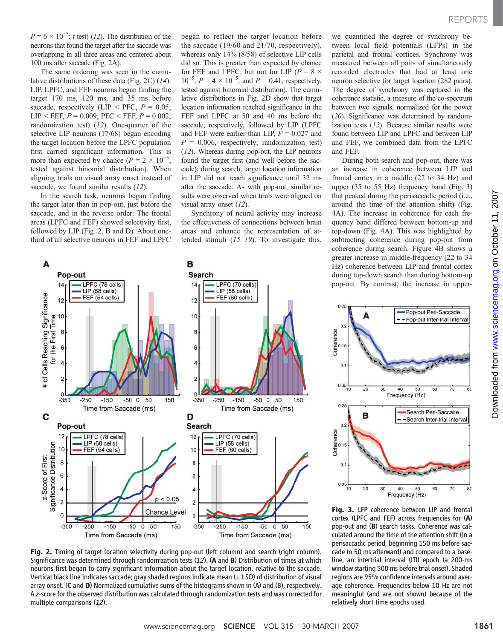$P = 6 \times 10^{-5}$ ; t test) (12). The distribution of the neurons that found the target after the saccade was overlapping in all three areas and centered about 100 ms after saccade (Fig. 2A).

The same ordering was seen in the cumulative distributions of these data (Fig. 2C) (14). LIP, LPFC, and FEF neurons began finding the target 170 ms, 120 ms, and 35 ms before saccade, respectively (LIP < PFC,  $P = 0.05$ ; LIP < FEF,  $P = 0.009$ ; PFC < FEF,  $P = 0.002$ ; randomization test) (12). One-quarter of the selective LIP neurons (17/68) began encoding the target location before the LPFC population first carried significant information. This is more than expected by chance ( $P = 2 \times 10^{-5}$ , tested against binomial distribution). When aligning trials on visual array onset instead of saccade, we found similar results (12).

In the search task, neurons began finding the target later than in pop-out, just before the saccade, and in the reverse order: The frontal areas (LPFC and FEF) showed selectivity first, followed by LIP (Fig. 2, B and D). About onethird of all selective neurons in FEF and LPFC

began to reflect the target location before the saccade (19/60 and 21/70, respectively), whereas only 14% (8/58) of selective LIP cells did so. This is greater than expected by chance for FEF and LPFC, but not for LIP ( $P = 8 \times$  $10^{-5}$ ,  $P = 4 \times 10^{-5}$ , and  $P = 0.41$ , respectively, tested against binomial distribution). The cumulative distributions in Fig. 2D show that target location information reached significance in the FEF and LPFC at 50 and 40 ms before the saccade, respectively, followed by LIP (LPFC and FEF were earlier than LIP,  $P = 0.027$  and  $P = 0.006$ , respectively; randomization test) (12). Whereas during pop-out, the LIP neurons found the target first (and well before the saccade); during search, target location information in LIP did not reach significance until 32 ms after the saccade. As with pop-out, similar results were observed when trials were aligned on visual array onset (12).

Synchrony of neural activity may increase the effectiveness of connections between brain areas and enhance the representation of attended stimuli  $(15-19)$ . To investigate this,

we quantified the degree of synchrony between local field potentials (LFPs) in the parietal and frontal cortices. Synchrony was measured between all pairs of simultaneously recorded electrodes that had at least one neuron selective for target location (282 pairs). The degree of synchrony was captured in the coherence statistic, a measure of the co-spectrum between two signals, normalized for the power (20). Significance was determined by randomization tests (12). Because similar results were found between LIP and LPFC and between LIP and FEF, we combined data from the LPFC and FEF.

During both search and pop-out, there was an increase in coherence between LIP and frontal cortex in a middle (22 to 34 Hz) and upper (35 to 55 Hz) frequency band (Fig. 3) that peaked during the perisaccadic period (i.e., around the time of the attention shift) (Fig. 4A). The increase in coherence for each frequency band differed between bottom-up and top-down (Fig. 4A). This was highlighted by subtracting coherence during pop-out from coherence during search. Figure 4B shows a greater increase in middle-frequency (22 to 34 Hz) coherence between LIP and frontal cortex during top-down search than during bottom-up pop-out. By contrast, the increase in upper-



Fig. 2. Timing of target location selectivity during pop-out (left column) and search (right column). Significance was determined through randomization tests (12). (A and B) Distribution of times at which neurons first began to carry significant information about the target location, relative to the saccade. Vertical black line indicates saccade; gray shaded regions indicate mean (±1 SD) of distribution of visual array onset. (C and D) Normalized cumulative sums of the histograms shown in (A) and (B), respectively. A z-score for the observed distribution was calculated through randomization tests and was corrected for multiple comparisons (12).



Fig. 3. LFP coherence between LIP and frontal cortex (LPFC and FEF) across frequencies for (A) pop-out and (B) search tasks. Coherence was calculated around the time of the attention shift (in a perisaccadic period, beginning 150 ms before saccade to 50 ms afterward) and compared to a baseline, an intertrial interval (ITI) epoch (a 200-ms window starting 500 ms before trial onset). Shaded regions are 95% confidence intervals around average coherence. Frequencies below 10 Hz are not meaningful (and are not shown) because of the relatively short time epochs used.